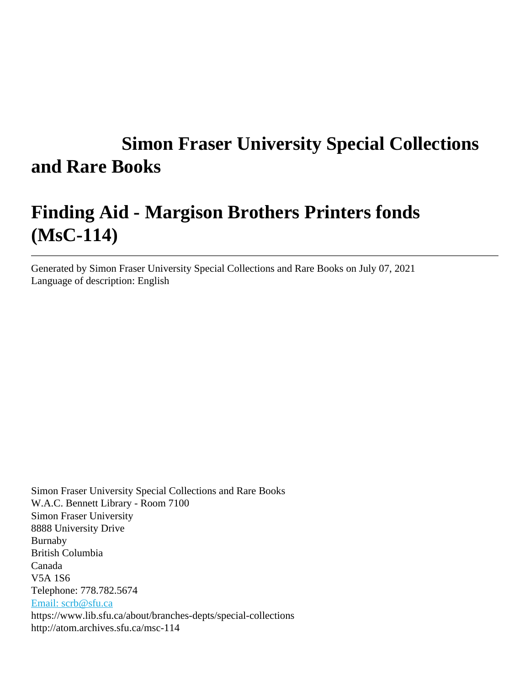# **Simon Fraser University Special Collections and Rare Books**

# **Finding Aid - Margison Brothers Printers fonds (MsC-114)**

Generated by Simon Fraser University Special Collections and Rare Books on July 07, 2021 Language of description: English

Simon Fraser University Special Collections and Rare Books W.A.C. Bennett Library - Room 7100 Simon Fraser University 8888 University Drive Burnaby British Columbia Canada V5A 1S6 Telephone: 778.782.5674 [Email: scrb@sfu.ca](mailto:Email: scrb@sfu.ca) https://www.lib.sfu.ca/about/branches-depts/special-collections http://atom.archives.sfu.ca/msc-114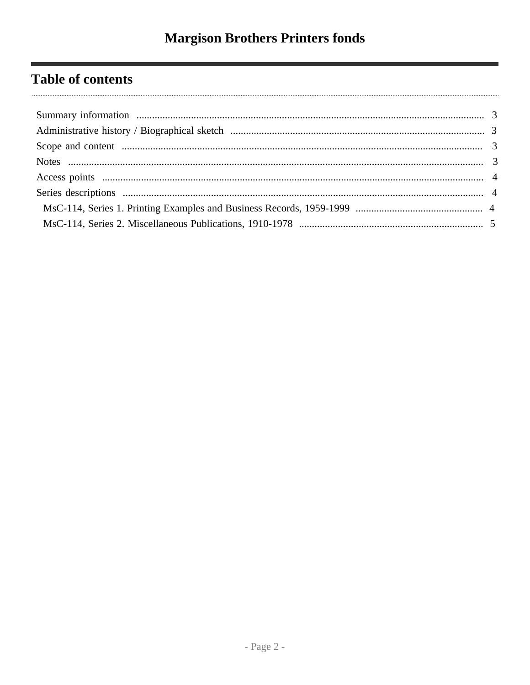# **Table of contents**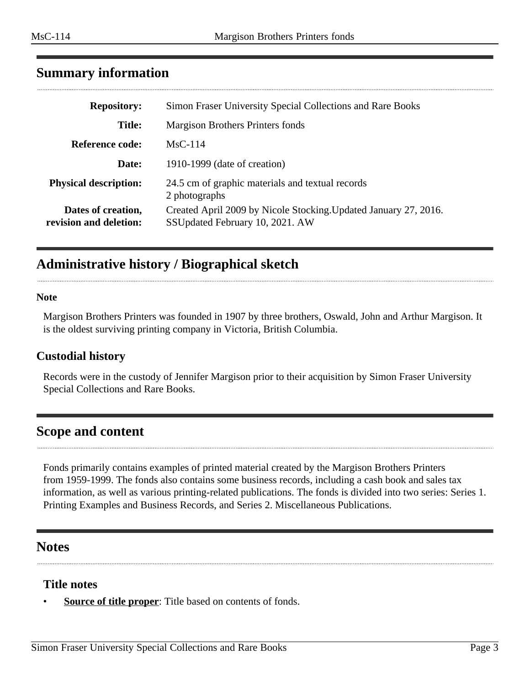| <b>Repository:</b>                           | Simon Fraser University Special Collections and Rare Books                                          |
|----------------------------------------------|-----------------------------------------------------------------------------------------------------|
| <b>Title:</b>                                | Margison Brothers Printers fonds                                                                    |
| <b>Reference code:</b>                       | $MsC-114$                                                                                           |
| Date:                                        | 1910-1999 (date of creation)                                                                        |
| <b>Physical description:</b>                 | 24.5 cm of graphic materials and textual records<br>2 photographs                                   |
| Dates of creation,<br>revision and deletion: | Created April 2009 by Nicole Stocking. Updated January 27, 2016.<br>SSUpdated February 10, 2021. AW |

## <span id="page-2-0"></span>**Summary information**

# <span id="page-2-1"></span>**Administrative history / Biographical sketch**

#### **Note**

Margison Brothers Printers was founded in 1907 by three brothers, Oswald, John and Arthur Margison. It is the oldest surviving printing company in Victoria, British Columbia.

#### **Custodial history**

Records were in the custody of Jennifer Margison prior to their acquisition by Simon Fraser University Special Collections and Rare Books.

## <span id="page-2-2"></span>**Scope and content**

Fonds primarily contains examples of printed material created by the Margison Brothers Printers from 1959-1999. The fonds also contains some business records, including a cash book and sales tax information, as well as various printing-related publications. The fonds is divided into two series: Series 1. Printing Examples and Business Records, and Series 2. Miscellaneous Publications.

#### <span id="page-2-3"></span>**Notes**

#### **Title notes**

**Source of title proper**: Title based on contents of fonds.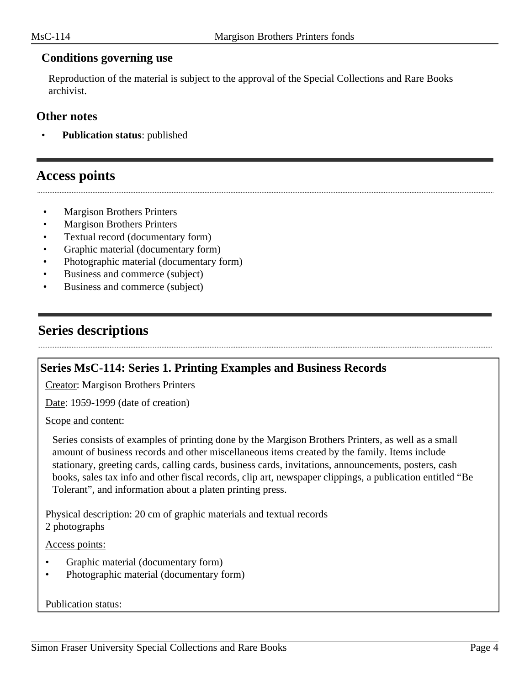#### **Conditions governing use**

Reproduction of the material is subject to the approval of the Special Collections and Rare Books archivist.

#### **Other notes**

**Publication status:** published

### <span id="page-3-0"></span>**Access points**

- Margison Brothers Printers
- Margison Brothers Printers
- Textual record (documentary form)
- Graphic material (documentary form)
- Photographic material (documentary form)
- Business and commerce (subject)
- Business and commerce (subject)

## <span id="page-3-1"></span>**Series descriptions**

#### <span id="page-3-2"></span>**Series MsC-114: Series 1. Printing Examples and Business Records**

Creator: Margison Brothers Printers

Date: 1959-1999 (date of creation)

Scope and content:

Series consists of examples of printing done by the Margison Brothers Printers, as well as a small amount of business records and other miscellaneous items created by the family. Items include stationary, greeting cards, calling cards, business cards, invitations, announcements, posters, cash books, sales tax info and other fiscal records, clip art, newspaper clippings, a publication entitled "Be Tolerant", and information about a platen printing press.

Physical description: 20 cm of graphic materials and textual records 2 photographs

Access points:

- Graphic material (documentary form)
- Photographic material (documentary form)

#### Publication status: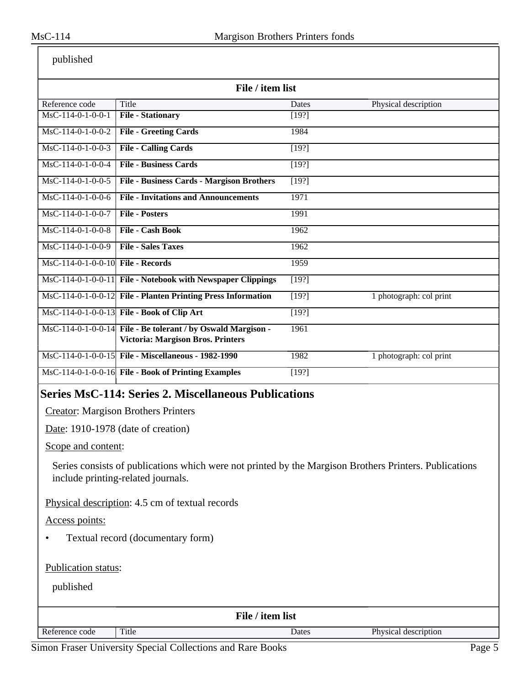| published |
|-----------|
|-----------|

| published                                                                                                                                                          |                                                                                                          |                    |                         |  |  |
|--------------------------------------------------------------------------------------------------------------------------------------------------------------------|----------------------------------------------------------------------------------------------------------|--------------------|-------------------------|--|--|
| File / item list                                                                                                                                                   |                                                                                                          |                    |                         |  |  |
| Reference code                                                                                                                                                     | Title                                                                                                    | Dates              | Physical description    |  |  |
| MsC-114-0-1-0-0-1                                                                                                                                                  | <b>File - Stationary</b>                                                                                 | [19?]              |                         |  |  |
| $MsC-114-0-1-0-0-2$                                                                                                                                                | <b>File - Greeting Cards</b>                                                                             | 1984               |                         |  |  |
| $\overline{\text{MsC-114-0-1-0-0-3}}$                                                                                                                              | <b>File - Calling Cards</b>                                                                              | [19?]              |                         |  |  |
| $MsC-114-0-1-0-0-4$                                                                                                                                                | <b>File - Business Cards</b>                                                                             | [19?]              |                         |  |  |
| $MsC-114-0-1-0-0-5$                                                                                                                                                | <b>File - Business Cards - Margison Brothers</b>                                                         | $\overline{[19?]}$ |                         |  |  |
| $MsC-114-0-1-0-0-6$                                                                                                                                                | <b>File - Invitations and Announcements</b>                                                              | 1971               |                         |  |  |
| $MsC-114-0-1-0-0-7$                                                                                                                                                | <b>File - Posters</b>                                                                                    | 1991               |                         |  |  |
| $MsC-114-0-1-0-0-8$                                                                                                                                                | <b>File - Cash Book</b>                                                                                  | 1962               |                         |  |  |
| $MsC-114-0-1-0-0-9$                                                                                                                                                | <b>File - Sales Taxes</b>                                                                                | 1962               |                         |  |  |
| $\overline{\text{MsC-114-0-1-0-0-10}}$ File - Records                                                                                                              |                                                                                                          | 1959               |                         |  |  |
|                                                                                                                                                                    | MsC-114-0-1-0-0-11 File - Notebook with Newspaper Clippings                                              | [19?]              |                         |  |  |
|                                                                                                                                                                    | MsC-114-0-1-0-0-12 File - Planten Printing Press Information                                             | $\overline{[19?]}$ | 1 photograph: col print |  |  |
|                                                                                                                                                                    | MsC-114-0-1-0-0-13 File - Book of Clip Art                                                               | $[19?]$            |                         |  |  |
|                                                                                                                                                                    | MsC-114-0-1-0-0-14 File - Be tolerant / by Oswald Margison -<br><b>Victoria: Margison Bros. Printers</b> | 1961               |                         |  |  |
|                                                                                                                                                                    | MsC-114-0-1-0-0-15 File - Miscellaneous - 1982-1990                                                      | 1982               | 1 photograph: col print |  |  |
|                                                                                                                                                                    | MsC-114-0-1-0-0-16 File - Book of Printing Examples                                                      | [19?]              |                         |  |  |
| <b>Series MsC-114: Series 2. Miscellaneous Publications</b><br><b>Creator:</b> Margison Brothers Printers<br>Date: 1910-1978 (date of creation)                    |                                                                                                          |                    |                         |  |  |
| Scope and content:<br>Series consists of publications which were not printed by the Margison Brothers Printers. Publications<br>include printing-related journals. |                                                                                                          |                    |                         |  |  |
| Physical description: 4.5 cm of textual records                                                                                                                    |                                                                                                          |                    |                         |  |  |
| Access points:                                                                                                                                                     |                                                                                                          |                    |                         |  |  |
| Textual record (documentary form)                                                                                                                                  |                                                                                                          |                    |                         |  |  |
| Publication status:                                                                                                                                                |                                                                                                          |                    |                         |  |  |

<span id="page-4-0"></span>published

| File / item list |       |       |                      |  |
|------------------|-------|-------|----------------------|--|
| Reference code   | Title | Dates | Physical description |  |

Simon Fraser University Special Collections and Rare Books Page 5